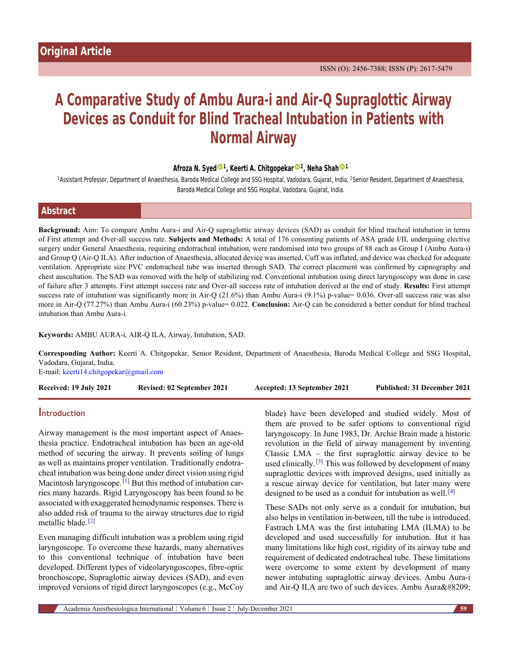# **A Comparative Study of Ambu Aura-i and Air-Q Supraglottic Airway Devices as Conduit for Blind Tracheal Intubation in Patients with Normal Airway**

#### **Afroza N. Sye[d](https://orcid.org/0000-0003-3556-153X) <sup>1</sup> , Keerti A. Chitgopekar [2](https://orcid.org/0000-0003-3613-6586) , Neha Shah [1](https://orcid.org/0000-0003-0046-5759)**

<sup>1</sup>Assistant Professor, Department of Anaesthesia, Baroda Medical College and SSG Hospital, Vadodara, Gujarat, India, <sup>2</sup>Senior Resident, Department of Anaesthesia, Baroda Medical College and SSG Hospital, Vadodara, Gujarat, India.

| <b>Abstract</b> |  |  |
|-----------------|--|--|
|                 |  |  |

**Background:** Aim: To compare Ambu Aura-i and Air-Q supraglottic airway devices (SAD) as conduit for blind tracheal intubation in terms of First attempt and Over-all success rate. **Subjects and Methods:** A total of 176 consenting patients of ASA grade I/II, undergoing elective surgery under General Anaesthesia, requiring endotracheal intubation, were randomised into two groups of 88 each as Group I (Ambu Aura-i) and Group Q (Air-Q ILA). After induction of Anaesthesia, allocated device was inserted, Cuff was inflated, and device was checked for adequate ventilation. Appropriate size PVC endotracheal tube was inserted through SAD. The correct placement was confirmed by capnography and chest auscultation. The SAD was removed with the help of stabilizing rod. Conventional intubation using direct laryngoscopy was done in case of failure after 3 attempts. First attempt success rate and Over-all success rate of intubation derived at the end of study. **Results:** First attempt success rate of intubation was significantly more in Air-Q (21.6%) than Ambu Aura-i (9.1%) p-value= 0.036. Over-all success rate was also more in Air-Q (77.27%) than Ambu Aura-i (60.23%) p-value= 0.022. **Conclusion:** Air-Q can be considered a better conduit for blind tracheal intubation than Ambu Aura-i.

**Keywords:** AMBU AURA-i, AIR-Q ILA, Airway, Intubation, SAD.

**Corresponding Author:** Keerti A. Chitgopekar, Senior Resident, Department of Anaesthesia, Baroda Medical College and SSG Hospital, Vadodara, Gujarat, India.

E-mail: [keerti14.chitgopekar@gmail.com](mailto:keerti14.chitgopekar@gmail.com)

| Received: 19 July 2021 | Revised: 02 September 2021 | Accepted: 13 September 2021 | Published: 31 December 2021 |
|------------------------|----------------------------|-----------------------------|-----------------------------|
|                        |                            |                             |                             |

### **Introduction**

Airway management is the most important aspect of Anaesthesia practice. Endotracheal intubation has been an age-old method of securing the airway. It prevents soiling of lungs as well as maintains proper ventilation. Traditionally endotracheal intubation was being done under direct vision using rigid Macintosh laryngoscope.<sup>[\[1\]](#page-5-0)</sup> But this method of intubation carries many hazards. Rigid Laryngoscopy has been found to be associated with exaggerated hemodynamic responses. There is also added risk of trauma to the airway structures due to rigid metallic blade.<sup>[\[2\]](#page-5-1)</sup>

Even managing difficult intubation was a problem using rigid laryngoscope. To overcome these hazards, many alternatives to this conventional technique of intubation have been developed. Different types of videolaryngoscopes, fibre-optic bronchoscope, Supraglottic airway devices (SAD), and even improved versions of rigid direct laryngoscopes (e.g., McCoy blade) have been developed and studied widely. Most of them are proved to be safer options to conventional rigid laryngoscopy. In June 1983, Dr. Archie Brain made a historic revolution in the field of airway management by inventing Classic LMA – the first supraglottic airway device to be used clinically.<sup>[\[3\]](#page-5-2)</sup> This was followed by development of many supraglottic devices with improved designs, used initially as a rescue airway device for ventilation, but later many were designed to be used as a conduit for intubation as well.  $[4]$ 

These SADs not only serve as a conduit for intubation, but also helps in ventilation in-between, till the tube is introduced. Fastrach LMA was the first intubating LMA (ILMA) to be developed and used successfully for intubation. But it has many limitations like high cost, rigidity of its airway tube and requirement of dedicated endotracheal tube. These limitations were overcome to some extent by development of many newer intubating supraglottic airway devices. Ambu Aura-i and Air-Q ILA are two of such devices. Ambu Aura‑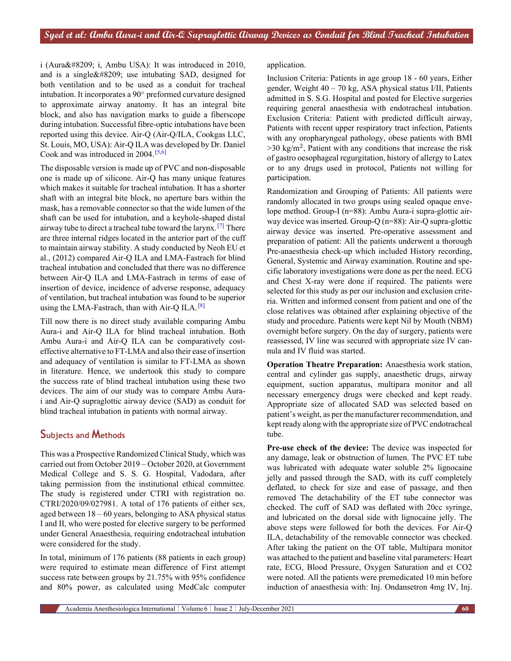i (Aura‑ i, Ambu USA): It was introduced in 2010, and is a single  $&\#8209$ ; use intubating SAD, designed for both ventilation and to be used as a conduit for tracheal intubation. It incorporates a 90*◦* preformed curvature designed to approximate airway anatomy. It has an integral bite block, and also has navigation marks to guide a fiberscope during intubation. Successful fibre-optic intubations have been reported using this device. Air-Q (Air-Q/ILA, Cookgas LLC, St. Louis, MO, USA): Air-Q ILA was developed by Dr. Daniel Cook and was introduced in 2004.<sup>[\[5](#page-5-4)[,6\]](#page-5-5)</sup>

The disposable version is made up of PVC and non-disposable one is made up of silicone. Air-Q has many unique features which makes it suitable for tracheal intubation. It has a shorter shaft with an integral bite block, no aperture bars within the mask, has a removable connector so that the wide lumen of the shaft can be used for intubation, and a keyhole-shaped distal airway tube to direct a tracheal tube toward the larynx.[[7](#page-5-6)] There are three internal ridges located in the anterior part of the cuff to maintain airway stability. A study conducted by Neoh EU et al., (2012) compared Air-Q ILA and LMA-Fastrach for blind tracheal intubation and concluded that there was no difference between Air-Q ILA and LMA-Fastrach in terms of ease of insertion of device, incidence of adverse response, adequacy of ventilation, but tracheal intubation was found to be superior using the LMA-Fastrach, than with Air-Q ILA.<sup>[[8](#page-5-7)]</sup>

Till now there is no direct study available comparing Ambu Aura-i and Air-Q ILA for blind tracheal intubation. Both Ambu Aura-i and Air-Q ILA can be comparatively costeffective alternative to FT-LMA and also their ease of insertion and adequacy of ventilation is similar to FT-LMA as shown in literature. Hence, we undertook this study to compare the success rate of blind tracheal intubation using these two devices. The aim of our study was to compare Ambu Aurai and Air-Q supraglottic airway device (SAD) as conduit for blind tracheal intubation in patients with normal airway.

# **Subjects and Methods**

This was a Prospective Randomized Clinical Study, which was carried out from October 2019 – October 2020, at Government Medical College and S. S. G. Hospital, Vadodara, after taking permission from the institutional ethical committee. The study is registered under CTRI with registration no. CTRI/2020/09/027981. A total of 176 patients of either sex, aged between 18 – 60 years, belonging to ASA physical status I and II, who were posted for elective surgery to be performed under General Anaesthesia, requiring endotracheal intubation were considered for the study.

In total, minimum of 176 patients (88 patients in each group) were required to estimate mean difference of First attempt success rate between groups by 21.75% with 95% confidence and 80% power, as calculated using MedCalc computer application.

Inclusion Criteria: Patients in age group 18 - 60 years, Either gender, Weight 40 – 70 kg, ASA physical status I/II, Patients admitted in S. S.G. Hospital and posted for Elective surgeries requiring general anaesthesia with endotracheal intubation. Exclusion Criteria: Patient with predicted difficult airway, Patients with recent upper respiratory tract infection, Patients with any oropharyngeal pathology, obese patients with BMI  $>$ 30 kg/m<sup>2</sup>, Patient with any conditions that increase the risk of gastro oesophageal regurgitation, history of allergy to Latex or to any drugs used in protocol, Patients not willing for participation.

Randomization and Grouping of Patients: All patients were randomly allocated in two groups using sealed opaque envelope method. Group-I (n=88): Ambu Aura-i supra-glottic airway device was inserted. Group-Q (n=88): Air-Q supra-glottic airway device was inserted. Pre-operative assessment and preparation of patient: All the patients underwent a thorough Pre-anaesthesia check-up which included History recording, General, Systemic and Airway examination. Routine and specific laboratory investigations were done as per the need. ECG and Chest X-ray were done if required. The patients were selected for this study as per our inclusion and exclusion criteria. Written and informed consent from patient and one of the close relatives was obtained after explaining objective of the study and procedure. Patients were kept Nil by Mouth (NBM) overnight before surgery. On the day of surgery, patients were reassessed, IV line was secured with appropriate size IV cannula and IV fluid was started.

**Operation Theatre Preparation:** Anaesthesia work station, central and cylinder gas supply, anaesthetic drugs, airway equipment, suction apparatus, multipara monitor and all necessary emergency drugs were checked and kept ready. Appropriate size of allocated SAD was selected based on patient's weight, as per the manufacturer recommendation, and kept ready along with the appropriate size of PVC endotracheal tube.

**Pre-use check of the device:** The device was inspected for any damage, leak or obstruction of lumen. The PVC ET tube was lubricated with adequate water soluble 2% lignocaine jelly and passed through the SAD, with its cuff completely deflated, to check for size and ease of passage, and then removed The detachability of the ET tube connector was checked. The cuff of SAD was deflated with 20cc syringe, and lubricated on the dorsal side with lignocaine jelly. The above steps were followed for both the devices. For Air-Q ILA, detachability of the removable connector was checked. After taking the patient on the OT table, Multipara monitor was attached to the patient and baseline vital parameters: Heart rate, ECG, Blood Pressure, Oxygen Saturation and et CO2 were noted. All the patients were premedicated 10 min before induction of anaesthesia with: Inj. Ondansetron 4mg IV, Inj.

Academia Anesthesiologica International 99 Volume 6 9 Issue 2 9 July-December 2021 **60**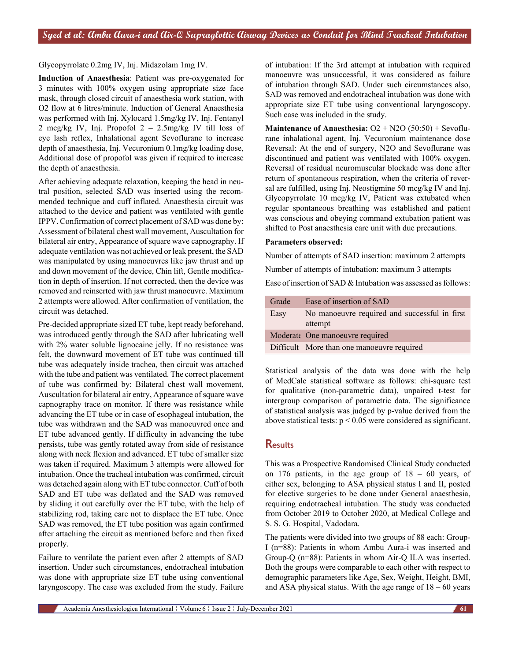Glycopyrrolate 0.2mg IV, Inj. Midazolam 1mg IV.

**Induction of Anaesthesia**: Patient was pre-oxygenated for 3 minutes with 100% oxygen using appropriate size face mask, through closed circuit of anaesthesia work station, with O2 flow at 6 litres/minute. Induction of General Anaesthesia was performed with Inj. Xylocard 1.5mg/kg IV, Inj. Fentanyl 2 mcg/kg IV, Inj. Propofol 2 – 2.5mg/kg IV till loss of eye lash reflex, Inhalational agent Sevoflurane to increase depth of anaesthesia, Inj. Vecuronium 0.1mg/kg loading dose, Additional dose of propofol was given if required to increase the depth of anaesthesia.

After achieving adequate relaxation, keeping the head in neutral position, selected SAD was inserted using the recommended technique and cuff inflated. Anaesthesia circuit was attached to the device and patient was ventilated with gentle IPPV. Confirmation of correct placement of SAD was done by: Assessment of bilateral chest wall movement, Auscultation for bilateral air entry, Appearance of square wave capnography. If adequate ventilation was not achieved or leak present, the SAD was manipulated by using manoeuvres like jaw thrust and up and down movement of the device, Chin lift, Gentle modification in depth of insertion. If not corrected, then the device was removed and reinserted with jaw thrust manoeuvre. Maximum 2 attempts were allowed. After confirmation of ventilation, the circuit was detached.

Pre-decided appropriate sized ET tube, kept ready beforehand, was introduced gently through the SAD after lubricating well with 2% water soluble lignocaine jelly. If no resistance was felt, the downward movement of ET tube was continued till tube was adequately inside trachea, then circuit was attached with the tube and patient was ventilated. The correct placement of tube was confirmed by: Bilateral chest wall movement, Auscultation for bilateral air entry, Appearance of square wave capnography trace on monitor. If there was resistance while advancing the ET tube or in case of esophageal intubation, the tube was withdrawn and the SAD was manoeuvred once and ET tube advanced gently. If difficulty in advancing the tube persists, tube was gently rotated away from side of resistance along with neck flexion and advanced. ET tube of smaller size was taken if required. Maximum 3 attempts were allowed for intubation. Once the tracheal intubation was confirmed, circuit was detached again along with ET tube connector. Cuff of both SAD and ET tube was deflated and the SAD was removed by sliding it out carefully over the ET tube, with the help of stabilizing rod, taking care not to displace the ET tube. Once SAD was removed, the ET tube position was again confirmed after attaching the circuit as mentioned before and then fixed properly.

Failure to ventilate the patient even after 2 attempts of SAD insertion. Under such circumstances, endotracheal intubation was done with appropriate size ET tube using conventional laryngoscopy. The case was excluded from the study. Failure of intubation: If the 3rd attempt at intubation with required manoeuvre was unsuccessful, it was considered as failure of intubation through SAD. Under such circumstances also, SAD was removed and endotracheal intubation was done with appropriate size ET tube using conventional laryngoscopy. Such case was included in the study.

**Maintenance of Anaesthesia:** O2 + N2O (50:50) + Sevoflurane inhalational agent, Inj. Vecuronium maintenance dose Reversal: At the end of surgery, N2O and Sevoflurane was discontinued and patient was ventilated with 100% oxygen. Reversal of residual neuromuscular blockade was done after return of spontaneous respiration, when the criteria of reversal are fulfilled, using Inj. Neostigmine 50 mcg/kg IV and Inj. Glycopyrrolate 10 mcg/kg IV, Patient was extubated when regular spontaneous breathing was established and patient was conscious and obeying command extubation patient was shifted to Post anaesthesia care unit with due precautions.

#### **Parameters observed:**

Number of attempts of SAD insertion: maximum 2 attempts

Number of attempts of intubation: maximum 3 attempts

Ease of insertion of SAD & Intubation was assessed as follows:

| Grade | Ease of insertion of SAD                                 |
|-------|----------------------------------------------------------|
| Easy  | No manoeuvre required and successful in first<br>attempt |
|       | Moderate One manoeuvre required                          |
|       | Difficult More than one manoeuvre required               |

Statistical analysis of the data was done with the help of MedCalc statistical software as follows: chi-square test for qualitative (non-parametric data), unpaired t-test for intergroup comparison of parametric data. The significance of statistical analysis was judged by p-value derived from the above statistical tests:  $p < 0.05$  were considered as significant.

## **Results**

This was a Prospective Randomised Clinical Study conducted on 176 patients, in the age group of 18 – 60 years, of either sex, belonging to ASA physical status I and II, posted for elective surgeries to be done under General anaesthesia, requiring endotracheal intubation. The study was conducted from October 2019 to October 2020, at Medical College and S. S. G. Hospital, Vadodara.

The patients were divided into two groups of 88 each: Group-I (n=88): Patients in whom Ambu Aura-i was inserted and Group-Q (n=88): Patients in whom Air-Q ILA was inserted. Both the groups were comparable to each other with respect to demographic parameters like Age, Sex, Weight, Height, BMI, and ASA physical status. With the age range of  $18 - 60$  years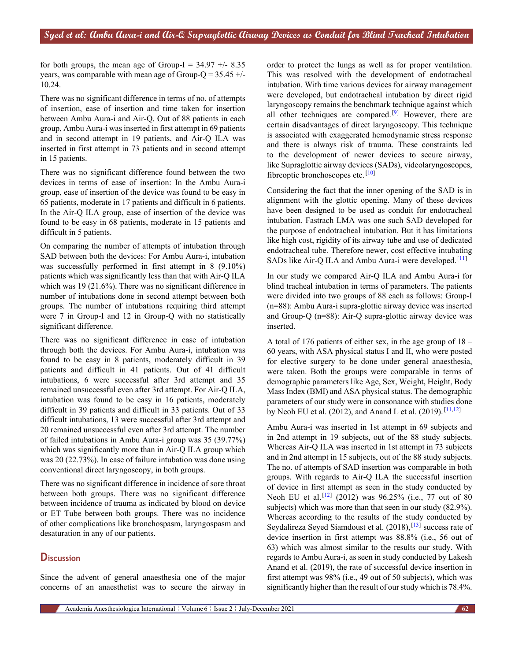for both groups, the mean age of Group-I =  $34.97 +/- 8.35$ years, was comparable with mean age of Group- $Q = 35.45 +/-$ 10.24.

There was no significant difference in terms of no. of attempts of insertion, ease of insertion and time taken for insertion between Ambu Aura-i and Air-Q. Out of 88 patients in each group, Ambu Aura-i was inserted in first attempt in 69 patients and in second attempt in 19 patients, and Air-Q ILA was inserted in first attempt in 73 patients and in second attempt in 15 patients.

There was no significant difference found between the two devices in terms of ease of insertion: In the Ambu Aura-i group, ease of insertion of the device was found to be easy in 65 patients, moderate in 17 patients and difficult in 6 patients. In the Air-Q ILA group, ease of insertion of the device was found to be easy in 68 patients, moderate in 15 patients and difficult in 5 patients.

On comparing the number of attempts of intubation through SAD between both the devices: For Ambu Aura-i, intubation was successfully performed in first attempt in 8 (9.10%) patients which was significantly less than that with Air-Q ILA which was 19 (21.6%). There was no significant difference in number of intubations done in second attempt between both groups. The number of intubations requiring third attempt were 7 in Group-I and 12 in Group-Q with no statistically significant difference.

There was no significant difference in ease of intubation through both the devices. For Ambu Aura-i, intubation was found to be easy in 8 patients, moderately difficult in 39 patients and difficult in 41 patients. Out of 41 difficult intubations, 6 were successful after 3rd attempt and 35 remained unsuccessful even after 3rd attempt. For Air-Q ILA, intubation was found to be easy in 16 patients, moderately difficult in 39 patients and difficult in 33 patients. Out of 33 difficult intubations, 13 were successful after 3rd attempt and 20 remained unsuccessful even after 3rd attempt. The number of failed intubations in Ambu Aura-i group was 35 (39.77%) which was significantly more than in Air-Q ILA group which was 20 (22.73%). In case of failure intubation was done using conventional direct laryngoscopy, in both groups.

There was no significant difference in incidence of sore throat between both groups. There was no significant difference between incidence of trauma as indicated by blood on device or ET Tube between both groups. There was no incidence of other complications like bronchospasm, laryngospasm and desaturation in any of our patients.

# **Discussion**

Since the advent of general anaesthesia one of the major concerns of an anaesthetist was to secure the airway in

order to protect the lungs as well as for proper ventilation. This was resolved with the development of endotracheal intubation. With time various devices for airway management were developed, but endotracheal intubation by direct rigid laryngoscopy remains the benchmark technique against which all other techniques are compared.<sup>[\[9\]](#page-5-8)</sup> However, there are certain disadvantages of direct laryngoscopy. This technique is associated with exaggerated hemodynamic stress response and there is always risk of trauma. These constraints led to the development of newer devices to secure airway, like Supraglottic airway devices (SADs), videolaryngoscopes, fibreoptic bronchoscopes etc.  $[10]$  $[10]$ 

Considering the fact that the inner opening of the SAD is in alignment with the glottic opening. Many of these devices have been designed to be used as conduit for endotracheal intubation. Fastrach LMA was one such SAD developed for the purpose of endotracheal intubation. But it has limitations like high cost, rigidity of its airway tube and use of dedicated endotracheal tube. Therefore newer, cost effective intubating SADs like Air-O ILA and Ambu Aura-i were developed.<sup>[\[11](#page-5-10)]</sup>

In our study we compared Air-Q ILA and Ambu Aura-i for blind tracheal intubation in terms of parameters. The patients were divided into two groups of 88 each as follows: Group-I (n=88): Ambu Aura-i supra-glottic airway device was inserted and Group-Q (n=88): Air-Q supra-glottic airway device was inserted.

A total of 176 patients of either sex, in the age group of 18 – 60 years, with ASA physical status I and II, who were posted for elective surgery to be done under general anaesthesia, were taken. Both the groups were comparable in terms of demographic parameters like Age, Sex, Weight, Height, Body Mass Index (BMI) and ASA physical status. The demographic parameters of our study were in consonance with studies done by Neoh EU et al. (2012), and Anand L et al. (2019).<sup>[\[11](#page-5-10)[,12](#page-5-11)]</sup>

Ambu Aura-i was inserted in 1st attempt in 69 subjects and in 2nd attempt in 19 subjects, out of the 88 study subjects. Whereas Air-Q ILA was inserted in 1st attempt in 73 subjects and in 2nd attempt in 15 subjects, out of the 88 study subjects. The no. of attempts of SAD insertion was comparable in both groups. With regards to Air-Q ILA the successful insertion of device in first attempt as seen in the study conducted by Neoh EU et al.<sup>[[12\]](#page-5-11)</sup> (2012) was 96.25% (i.e., 77 out of 80 subjects) which was more than that seen in our study (82.9%). Whereas according to the results of the study conducted by Seydalireza Seyed Siamdoust et al. (2018),<sup>[\[13](#page-5-12)]</sup> success rate of device insertion in first attempt was 88.8% (i.e., 56 out of 63) which was almost similar to the results our study. With regards to Ambu Aura-i, as seen in study conducted by Lakesh Anand et al. (2019), the rate of successful device insertion in first attempt was 98% (i.e., 49 out of 50 subjects), which was significantly higher than the result of our study which is 78.4%.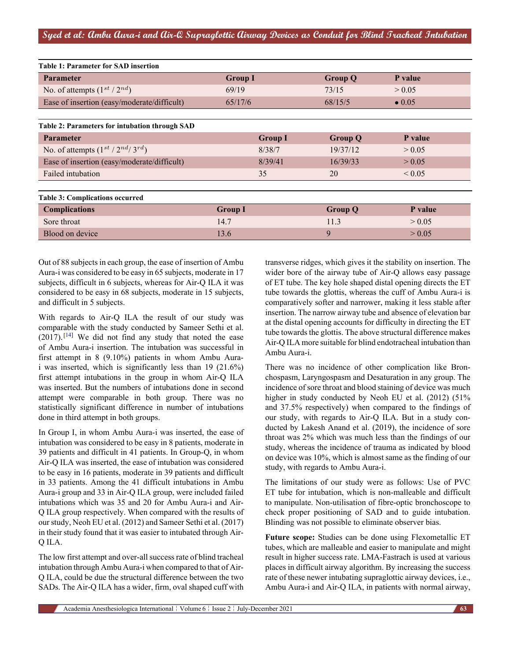| <b>Table 1: Parameter for SAD insertion</b>    |                |                |                |                |  |  |  |  |
|------------------------------------------------|----------------|----------------|----------------|----------------|--|--|--|--|
| <b>Parameter</b>                               | <b>Group I</b> |                |                | P value        |  |  |  |  |
| No. of attempts $(1^{st}/2^{nd})$              | 69/19          |                | 73/15          | > 0.05         |  |  |  |  |
| Ease of insertion (easy/moderate/difficult)    | 65/17/6        |                | 68/15/5        | $\bullet$ 0.05 |  |  |  |  |
|                                                |                |                |                |                |  |  |  |  |
| Table 2: Parameters for intubation through SAD |                |                |                |                |  |  |  |  |
| <b>Parameter</b>                               |                | <b>Group I</b> | <b>Group Q</b> | P value        |  |  |  |  |
| No. of attempts $(1^{st}/2^{nd}/3^{rd})$       |                | 8/38/7         | 19/37/12       | > 0.05         |  |  |  |  |
| Ease of insertion (easy/moderate/difficult)    |                | 8/39/41        | 16/39/33       | > 0.05         |  |  |  |  |
| Failed intubation                              |                | 35             | 20             | ${}_{0.05}$    |  |  |  |  |
|                                                |                |                |                |                |  |  |  |  |
| <b>Table 3: Complications occurred</b>         |                |                |                |                |  |  |  |  |
| <b>Complications</b>                           | <b>Group I</b> |                | <b>Group Q</b> | P value        |  |  |  |  |
| Sore throat                                    | 14.7           |                | 11.3           | > 0.05         |  |  |  |  |
| Blood on device                                | 13.6           |                | 9              | > 0.05         |  |  |  |  |

Out of 88 subjects in each group, the ease of insertion of Ambu Aura-i was considered to be easy in 65 subjects, moderate in 17 subjects, difficult in 6 subjects, whereas for Air-Q ILA it was considered to be easy in 68 subjects, moderate in 15 subjects, and difficult in 5 subjects.

With regards to Air-Q ILA the result of our study was comparable with the study conducted by Sameer Sethi et al.  $(2017)$ .  $[14]$  $[14]$  We did not find any study that noted the ease of Ambu Aura-i insertion. The intubation was successful in first attempt in 8 (9.10%) patients in whom Ambu Aurai was inserted, which is significantly less than 19 (21.6%) first attempt intubations in the group in whom Air-Q ILA was inserted. But the numbers of intubations done in second attempt were comparable in both group. There was no statistically significant difference in number of intubations done in third attempt in both groups.

In Group I, in whom Ambu Aura-i was inserted, the ease of intubation was considered to be easy in 8 patients, moderate in 39 patients and difficult in 41 patients. In Group-Q, in whom Air-Q ILA was inserted, the ease of intubation was considered to be easy in 16 patients, moderate in 39 patients and difficult in 33 patients. Among the 41 difficult intubations in Ambu Aura-i group and 33 in Air-Q ILA group, were included failed intubations which was 35 and 20 for Ambu Aura-i and Air-Q ILA group respectively. When compared with the results of our study, Neoh EU et al. (2012) and Sameer Sethi et al. (2017) in their study found that it was easier to intubated through Air-Q ILA.

The low first attempt and over-all success rate of blind tracheal intubation through Ambu Aura-i when compared to that of Air-Q ILA, could be due the structural difference between the two SADs. The Air-Q ILA has a wider, firm, oval shaped cuff with

transverse ridges, which gives it the stability on insertion. The wider bore of the airway tube of Air-Q allows easy passage of ET tube. The key hole shaped distal opening directs the ET tube towards the glottis, whereas the cuff of Ambu Aura-i is comparatively softer and narrower, making it less stable after insertion. The narrow airway tube and absence of elevation bar at the distal opening accounts for difficulty in directing the ET tube towards the glottis. The above structural difference makes Air-Q ILA more suitable for blind endotracheal intubation than Ambu Aura-i.

There was no incidence of other complication like Bronchospasm, Laryngospasm and Desaturation in any group. The incidence of sore throat and blood staining of device was much higher in study conducted by Neoh EU et al. (2012) (51% and 37.5% respectively) when compared to the findings of our study, with regards to Air-Q ILA. But in a study conducted by Lakesh Anand et al. (2019), the incidence of sore throat was 2% which was much less than the findings of our study, whereas the incidence of trauma as indicated by blood on device was 10%, which is almost same as the finding of our study, with regards to Ambu Aura-i.

The limitations of our study were as follows: Use of PVC ET tube for intubation, which is non-malleable and difficult to manipulate. Non-utilisation of fibre-optic bronchoscope to check proper positioning of SAD and to guide intubation. Blinding was not possible to eliminate observer bias.

**Future scope:** Studies can be done using Flexometallic ET tubes, which are malleable and easier to manipulate and might result in higher success rate. LMA-Fastrach is used at various places in difficult airway algorithm. By increasing the success rate of these newer intubating supraglottic airway devices, i.e., Ambu Aura-i and Air-Q ILA, in patients with normal airway,